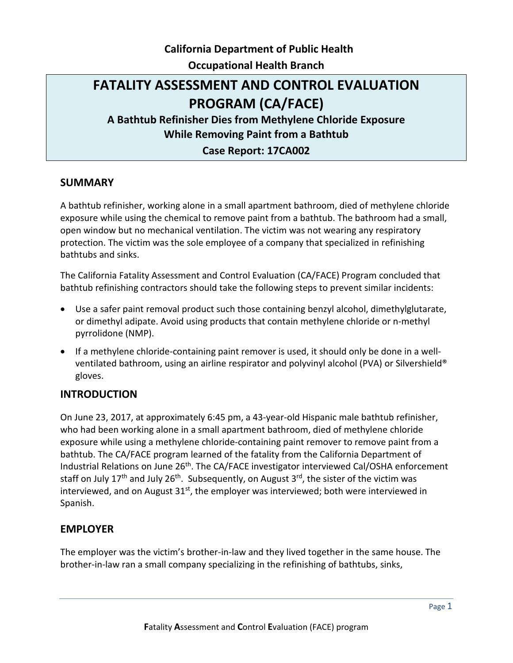# **California Department of Public Health Occupational Health Branch**

# **FATALITY ASSESSMENT AND CONTROL EVALUATION PROGRAM (CA/FACE)**

**A Bathtub Refinisher Dies from Methylene Chloride Exposure While Removing Paint from a Bathtub** 

### **Case Report: 17CA002**

### **SUMMARY**

A bathtub refinisher, working alone in a small apartment bathroom, died of methylene chloride exposure while using the chemical to remove paint from a bathtub. The bathroom had a small, open window but no mechanical ventilation. The victim was not wearing any respiratory protection. The victim was the sole employee of a company that specialized in refinishing bathtubs and sinks.

The California Fatality Assessment and Control Evaluation (CA/FACE) Program concluded that bathtub refinishing contractors should take the following steps to prevent similar incidents:

- Use a safer paint removal product such those containing benzyl alcohol, dimethylglutarate, or dimethyl adipate. Avoid using products that contain methylene chloride or n-methyl pyrrolidone (NMP).
- If a methylene chloride-containing paint remover is used, it should only be done in a wellventilated bathroom, using an airline respirator and polyvinyl alcohol (PVA) or Silvershield® gloves.

### **INTRODUCTION**

On June 23, 2017, at approximately 6:45 pm, a 43-year-old Hispanic male bathtub refinisher, who had been working alone in a small apartment bathroom, died of methylene chloride exposure while using a methylene chloride-containing paint remover to remove paint from a bathtub. The CA/FACE program learned of the fatality from the California Department of Industrial Relations on June 26th. The CA/FACE investigator interviewed Cal/OSHA enforcement staff on July 17<sup>th</sup> and July 26<sup>th</sup>. Subsequently, on August 3<sup>rd</sup>, the sister of the victim was interviewed, and on August  $31<sup>st</sup>$ , the employer was interviewed; both were interviewed in Spanish.

### **EMPLOYER**

The employer was the victim's brother-in-law and they lived together in the same house. The brother-in-law ran a small company specializing in the refinishing of bathtubs, sinks,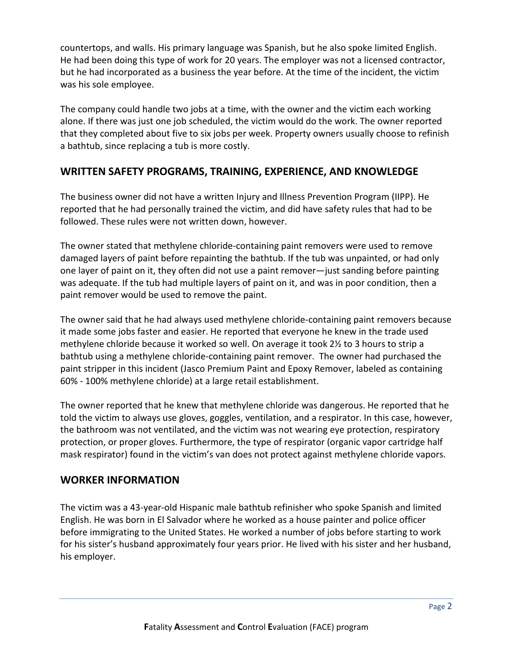countertops, and walls. His primary language was Spanish, but he also spoke limited English. He had been doing this type of work for 20 years. The employer was not a licensed contractor, but he had incorporated as a business the year before. At the time of the incident, the victim was his sole employee.

The company could handle two jobs at a time, with the owner and the victim each working alone. If there was just one job scheduled, the victim would do the work. The owner reported that they completed about five to six jobs per week. Property owners usually choose to refinish a bathtub, since replacing a tub is more costly.

## **WRITTEN SAFETY PROGRAMS, TRAINING, EXPERIENCE, AND KNOWLEDGE**

The business owner did not have a written Injury and Illness Prevention Program (IIPP). He reported that he had personally trained the victim, and did have safety rules that had to be followed. These rules were not written down, however.

The owner stated that methylene chloride-containing paint removers were used to remove damaged layers of paint before repainting the bathtub. If the tub was unpainted, or had only one layer of paint on it, they often did not use a paint remover—just sanding before painting was adequate. If the tub had multiple layers of paint on it, and was in poor condition, then a paint remover would be used to remove the paint.

The owner said that he had always used methylene chloride-containing paint removers because it made some jobs faster and easier. He reported that everyone he knew in the trade used methylene chloride because it worked so well. On average it took 2½ to 3 hours to strip a bathtub using a methylene chloride-containing paint remover. The owner had purchased the paint stripper in this incident (Jasco Premium Paint and Epoxy Remover, labeled as containing 60% - 100% methylene chloride) at a large retail establishment.

The owner reported that he knew that methylene chloride was dangerous. He reported that he told the victim to always use gloves, goggles, ventilation, and a respirator. In this case, however, the bathroom was not ventilated, and the victim was not wearing eye protection, respiratory protection, or proper gloves. Furthermore, the type of respirator (organic vapor cartridge half mask respirator) found in the victim's van does not protect against methylene chloride vapors.

## **WORKER INFORMATION**

The victim was a 43-year-old Hispanic male bathtub refinisher who spoke Spanish and limited English. He was born in El Salvador where he worked as a house painter and police officer before immigrating to the United States. He worked a number of jobs before starting to work for his sister's husband approximately four years prior. He lived with his sister and her husband, his employer.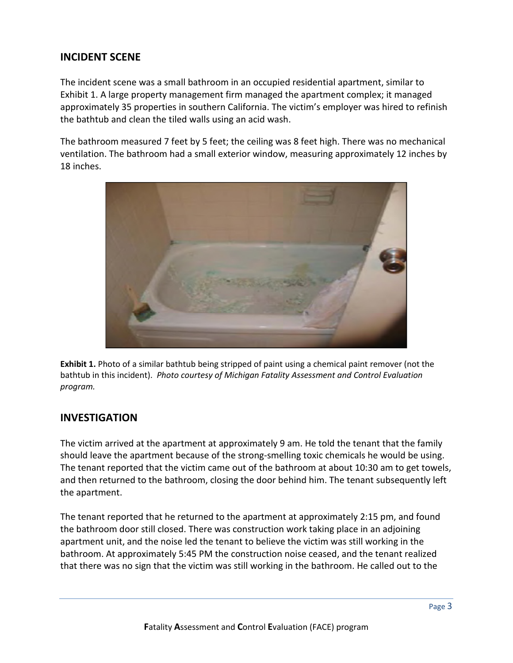### **INCIDENT SCENE**

The incident scene was a small bathroom in an occupied residential apartment, similar to Exhibit 1. A large property management firm managed the apartment complex; it managed approximately 35 properties in southern California. The victim's employer was hired to refinish the bathtub and clean the tiled walls using an acid wash.

The bathroom measured 7 feet by 5 feet; the ceiling was 8 feet high. There was no mechanical ventilation. The bathroom had a small exterior window, measuring approximately 12 inches by 18 inches.



**Exhibit 1.** Photo of a similar bathtub being stripped of paint using a chemical paint remover (not the bathtub in this incident). *Photo courtesy of Michigan Fatality Assessment and Control Evaluation program.*

### **INVESTIGATION**

The victim arrived at the apartment at approximately 9 am. He told the tenant that the family should leave the apartment because of the strong-smelling toxic chemicals he would be using. The tenant reported that the victim came out of the bathroom at about 10:30 am to get towels, and then returned to the bathroom, closing the door behind him. The tenant subsequently left the apartment.

The tenant reported that he returned to the apartment at approximately 2:15 pm, and found the bathroom door still closed. There was construction work taking place in an adjoining apartment unit, and the noise led the tenant to believe the victim was still working in the bathroom. At approximately 5:45 PM the construction noise ceased, and the tenant realized that there was no sign that the victim was still working in the bathroom. He called out to the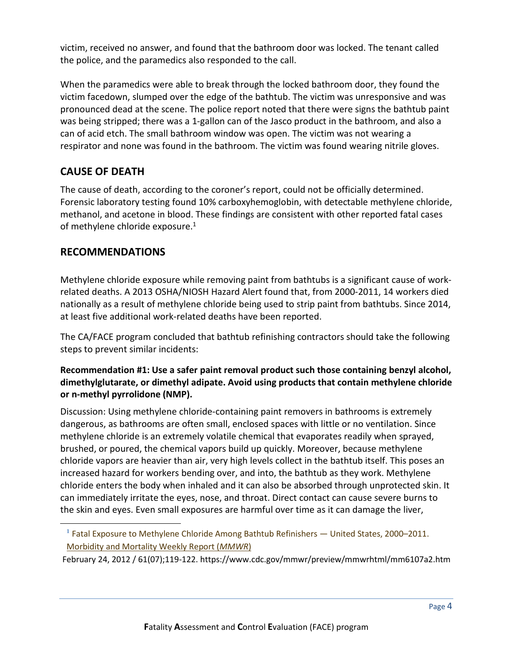victim, received no answer, and found that the bathroom door was locked. The tenant called the police, and the paramedics also responded to the call.

When the paramedics were able to break through the locked bathroom door, they found the victim facedown, slumped over the edge of the bathtub. The victim was unresponsive and was pronounced dead at the scene. The police report noted that there were signs the bathtub paint was being stripped; there was a 1-gallon can of the Jasco product in the bathroom, and also a can of acid etch. The small bathroom window was open. The victim was not wearing a respirator and none was found in the bathroom. The victim was found wearing nitrile gloves.

# **CAUSE OF DEATH**

The cause of death, according to the coroner's report, could not be officially determined. Forensic laboratory testing found 10% carboxyhemoglobin, with detectable methylene chloride, methanol, and acetone in blood. These findings are consistent with other reported fatal cases of methylene chloride exposure.<sup>1</sup>

### **RECOMMENDATIONS**

 $\overline{a}$ 

Methylene chloride exposure while removing paint from bathtubs is a significant cause of workrelated deaths. A 2013 OSHA/NIOSH Hazard Alert found that, from 2000-2011, 14 workers died nationally as a result of methylene chloride being used to strip paint from bathtubs. Since 2014, at least five additional work-related deaths have been reported.

The CA/FACE program concluded that bathtub refinishing contractors should take the following steps to prevent similar incidents:

#### **Recommendation #1: Use a safer paint removal product such those containing benzyl alcohol, dimethylglutarate, or dimethyl adipate. Avoid using products that contain methylene chloride or n-methyl pyrrolidone (NMP).**

Discussion: Using methylene chloride-containing paint removers in bathrooms is extremely dangerous, as bathrooms are often small, enclosed spaces with little or no ventilation. Since methylene chloride is an extremely volatile chemical that evaporates readily when sprayed, brushed, or poured, the chemical vapors build up quickly. Moreover, because methylene chloride vapors are heavier than air, very high levels collect in the bathtub itself. This poses an increased hazard for workers bending over, and into, the bathtub as they work. Methylene chloride enters the body when inhaled and it can also be absorbed through unprotected skin. It can immediately irritate the eyes, nose, and throat. Direct contact can cause severe burns to the skin and eyes. Even small exposures are harmful over time as it can damage the liver,

**<sup>1</sup>** Fatal Exposure to Methylene Chloride Among Bathtub Refinishers — United States, 2000–2011. [Morbidity and Mortality Weekly Report \(](https://www.cdc.gov/mmwr/)*MMWR*)

February 24, 2012 / 61(07);119-122. https://www.cdc.gov/mmwr/preview/mmwrhtml/mm6107a2.htm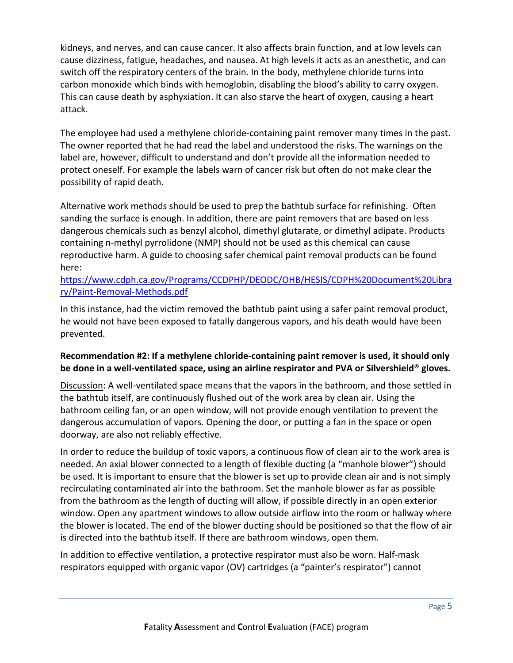kidneys, and nerves, and can cause cancer. It also affects brain function, and at low levels can cause dizziness, fatigue, headaches, and nausea. At high levels it acts as an anesthetic, and can switch off the respiratory centers of the brain. In the body, methylene chloride turns into carbon monoxide which binds with hemoglobin, disabling the blood's ability to carry oxygen. This can cause death by asphyxiation. It can also starve the heart of oxygen, causing a heart attack.

The employee had used a methylene chloride-containing paint remover many times in the past. The owner reported that he had read the label and understood the risks. The warnings on the label are, however, difficult to understand and don't provide all the information needed to protect oneself. For example the labels warn of cancer risk but often do not make clear the possibility of rapid death.

Alternative work methods should be used to prep the bathtub surface for refinishing. Often sanding the surface is enough. In addition, there are paint removers that are based on less dangerous chemicals such as benzyl alcohol, dimethyl glutarate, or dimethyl adipate. Products containing n-methyl pyrrolidone (NMP) should not be used as this chemical can cause reproductive harm. A guide to choosing safer chemical paint removal products can be found here:

### [https://www.cdph.ca.gov/Programs/CCDPHP/DEODC/OHB/HESIS/CDPH%20Document%20Libra](https://www.cdph.ca.gov/Programs/CCDPHP/DEODC/OHB/HESIS/CDPH%20Document%20Library/Paint-Removal-Methods.pdf) [ry/Paint-Removal-Methods.pdf](https://www.cdph.ca.gov/Programs/CCDPHP/DEODC/OHB/HESIS/CDPH%20Document%20Library/Paint-Removal-Methods.pdf)

In this instance, had the victim removed the bathtub paint using a safer paint removal product, he would not have been exposed to fatally dangerous vapors, and his death would have been prevented.

### **Recommendation #2: If a methylene chloride-containing paint remover is used, it should only be done in a well-ventilated space, using an airline respirator and PVA or Silvershield® gloves.**

Discussion: A well-ventilated space means that the vapors in the bathroom, and those settled in the bathtub itself, are continuously flushed out of the work area by clean air. Using the bathroom ceiling fan, or an open window, will not provide enough ventilation to prevent the dangerous accumulation of vapors. Opening the door, or putting a fan in the space or open doorway, are also not reliably effective.

In order to reduce the buildup of toxic vapors, a continuous flow of clean air to the work area is needed. An axial blower connected to a length of flexible ducting (a "manhole blower") should be used. It is important to ensure that the blower is set up to provide clean air and is not simply recirculating contaminated air into the bathroom. Set the manhole blower as far as possible from the bathroom as the length of ducting will allow, if possible directly in an open exterior window. Open any apartment windows to allow outside airflow into the room or hallway where the blower is located. The end of the blower ducting should be positioned so that the flow of air is directed into the bathtub itself. If there are bathroom windows, open them.

In addition to effective ventilation, a protective respirator must also be worn. Half-mask respirators equipped with organic vapor (OV) cartridges (a "painter's respirator") cannot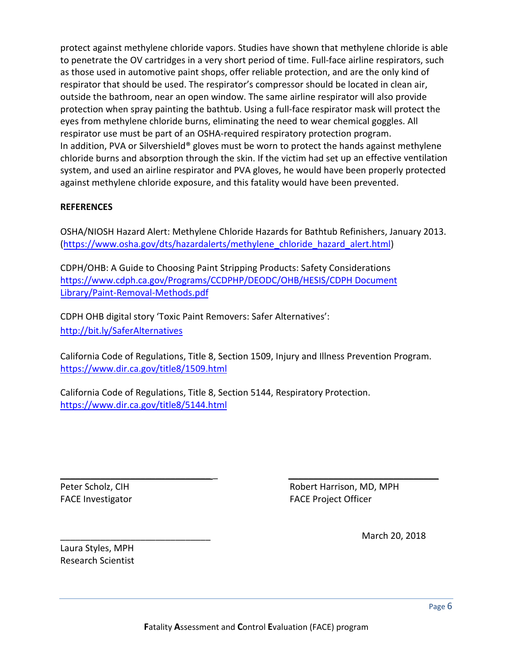protect against methylene chloride vapors. Studies have shown that methylene chloride is able to penetrate the OV cartridges in a very short period of time. Full-face airline respirators, such as those used in automotive paint shops, offer reliable protection, and are the only kind of respirator that should be used. The respirator's compressor should be located in clean air, outside the bathroom, near an open window. The same airline respirator will also provide protection when spray painting the bathtub. Using a full-face respirator mask will protect the eyes from methylene chloride burns, eliminating the need to wear chemical goggles. All respirator use must be part of an OSHA-required respiratory protection program. In addition, PVA or Silvershield<sup>®</sup> gloves must be worn to protect the hands against methylene chloride burns and absorption through the skin. If the victim had set up an effective ventilation system, and used an airline respirator and PVA gloves, he would have been properly protected against methylene chloride exposure, and this fatality would have been prevented.

#### **REFERENCES**

OSHA/NIOSH Hazard Alert: Methylene Chloride Hazards for Bathtub Refinishers, January 2013. [\(https://www.osha.gov/dts/hazardalerts/methylene\\_chloride\\_hazard\\_alert.html\)](https://www.osha.gov/dts/hazardalerts/methylene_chloride_hazard_alert.html)

CDPH/OHB: A Guide to Choosing Paint Stripping Products: Safety Considerations [https://www.cdph.ca.gov/Programs/CCDPHP/DEODC/OHB/HESIS/CDPH Document](https://www.cdph.ca.gov/Programs/CCDPHP/DEODC/OHB/HESIS/CDPH%20Document%20Library/Paint-Removal-Methods.pdf) [Library/Paint-Removal-Methods.pdf](https://www.cdph.ca.gov/Programs/CCDPHP/DEODC/OHB/HESIS/CDPH%20Document%20Library/Paint-Removal-Methods.pdf)

CDPH OHB digital story 'Toxic Paint Removers: Safer Alternatives': <http://bit.ly/SaferAlternatives>

California Code of Regulations, Title 8, Section 1509, Injury and Illness Prevention Program. <https://www.dir.ca.gov/title8/1509.html>

California Code of Regulations, Title 8, Section 5144, Respiratory Protection. <https://www.dir.ca.gov/title8/5144.html>

\_\_\_\_\_\_\_\_\_\_\_\_\_\_\_\_\_\_\_\_\_\_\_\_\_\_\_\_\_\_ \_ \_\_\_\_\_\_\_\_\_\_\_\_\_\_\_\_\_\_\_\_\_\_\_\_\_\_\_\_\_\_

Peter Scholz, CIH and The City of the Robert Harrison, MD, MPH FACE Investigator **FACE Project Officer** 

\_\_\_\_\_\_\_\_\_\_\_\_\_\_\_\_\_\_\_\_\_\_\_\_\_\_\_\_\_\_ March 20, 2018

Laura Styles, MPH Research Scientist

Page 6